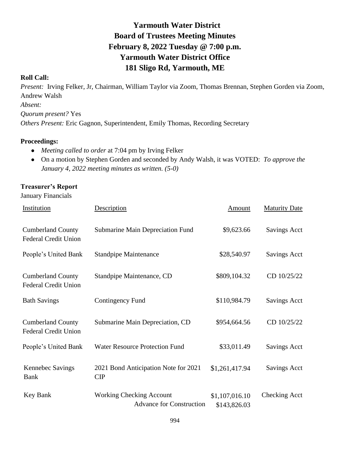# **Yarmouth Water District Board of Trustees Meeting Minutes February 8, 2022 Tuesday @ 7:00 p.m. Yarmouth Water District Office 181 Sligo Rd, Yarmouth, ME**

### **Roll Call:**

*Present:* Irving Felker, Jr, Chairman, William Taylor via Zoom, Thomas Brennan, Stephen Gorden via Zoom, Andrew Walsh *Absent: Quorum present?* Yes *Others Present:* Eric Gagnon, Superintendent, Emily Thomas, Recording Secretary

#### **Proceedings:**

- *Meeting called to order* at 7:04 pm by Irving Felker
- On a motion by Stephen Gorden and seconded by Andy Walsh, it was VOTED: *To approve the January 4, 2022 meeting minutes as written. (5-0)*

### **Treasurer's Report**

January Financials

| Institution                                             | Description                                                        | Amount                         | <b>Maturity Date</b> |
|---------------------------------------------------------|--------------------------------------------------------------------|--------------------------------|----------------------|
| <b>Cumberland County</b><br><b>Federal Credit Union</b> | Submarine Main Depreciation Fund                                   | \$9,623.66                     | <b>Savings Acct</b>  |
| People's United Bank                                    | <b>Standpipe Maintenance</b>                                       | \$28,540.97                    | Savings Acct         |
| <b>Cumberland County</b><br><b>Federal Credit Union</b> | Standpipe Maintenance, CD                                          | \$809,104.32                   | CD 10/25/22          |
| <b>Bath Savings</b>                                     | <b>Contingency Fund</b>                                            | \$110,984.79                   | <b>Savings Acct</b>  |
| <b>Cumberland County</b><br><b>Federal Credit Union</b> | Submarine Main Depreciation, CD                                    | \$954,664.56                   | CD 10/25/22          |
| People's United Bank                                    | <b>Water Resource Protection Fund</b>                              | \$33,011.49                    | <b>Savings Acct</b>  |
| <b>Kennebec Savings</b><br><b>Bank</b>                  | 2021 Bond Anticipation Note for 2021<br>CIP                        | \$1,261,417.94                 | <b>Savings Acct</b>  |
| Key Bank                                                | <b>Working Checking Account</b><br><b>Advance for Construction</b> | \$1,107,016.10<br>\$143,826.03 | Checking Acct        |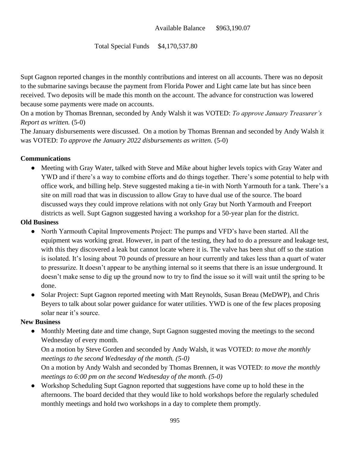### Total Special Funds \$4,170,537.80

Supt Gagnon reported changes in the monthly contributions and interest on all accounts. There was no deposit to the submarine savings because the payment from Florida Power and Light came late but has since been received. Two deposits will be made this month on the account. The advance for construction was lowered because some payments were made on accounts.

On a motion by Thomas Brennan, seconded by Andy Walsh it was VOTED: *To approve January Treasurer's Report as written.* (5-0)

The January disbursements were discussed. On a motion by Thomas Brennan and seconded by Andy Walsh it was VOTED: *To approve the January 2022 disbursements as written.* (5-0)

### **Communications**

• Meeting with Gray Water, talked with Steve and Mike about higher levels topics with Gray Water and YWD and if there's a way to combine efforts and do things together. There's some potential to help with office work, and billing help. Steve suggested making a tie-in with North Yarmouth for a tank. There's a site on mill road that was in discussion to allow Gray to have dual use of the source. The board discussed ways they could improve relations with not only Gray but North Yarmouth and Freeport districts as well. Supt Gagnon suggested having a workshop for a 50-year plan for the district.

### **Old Business**

- North Yarmouth Capital Improvements Project: The pumps and VFD's have been started. All the equipment was working great. However, in part of the testing, they had to do a pressure and leakage test, with this they discovered a leak but cannot locate where it is. The valve has been shut off so the station is isolated. It's losing about 70 pounds of pressure an hour currently and takes less than a quart of water to pressurize. It doesn't appear to be anything internal so it seems that there is an issue underground. It doesn't make sense to dig up the ground now to try to find the issue so it will wait until the spring to be done.
- Solar Project: Supt Gagnon reported meeting with Matt Reynolds, Susan Breau (MeDWP), and Chris Beyers to talk about solar power guidance for water utilities. YWD is one of the few places proposing solar near it's source.

### **New Business**

• Monthly Meeting date and time change, Supt Gagnon suggested moving the meetings to the second Wednesday of every month.

On a motion by Steve Gorden and seconded by Andy Walsh, it was VOTED: *to move the monthly meetings to the second Wednesday of the month. (5-0)*

On a motion by Andy Walsh and seconded by Thomas Brennen, it was VOTED: *to move the monthly meetings to 6:00 pm on the second Wednesday of the month. (5-0)*

● Workshop Scheduling Supt Gagnon reported that suggestions have come up to hold these in the afternoons. The board decided that they would like to hold workshops before the regularly scheduled monthly meetings and hold two workshops in a day to complete them promptly.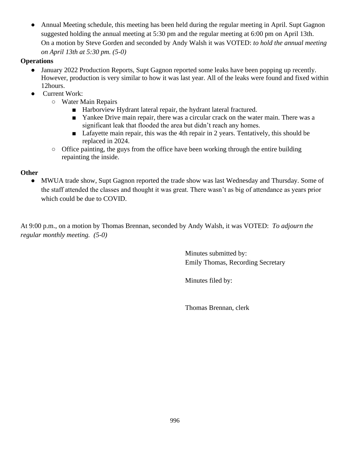Annual Meeting schedule, this meeting has been held during the regular meeting in April. Supt Gagnon suggested holding the annual meeting at 5:30 pm and the regular meeting at 6:00 pm on April 13th. On a motion by Steve Gorden and seconded by Andy Walsh it was VOTED: *to hold the annual meeting on April 13th at 5:30 pm. (5-0)*

## **Operations**

- January 2022 Production Reports, Supt Gagnon reported some leaks have been popping up recently. However, production is very similar to how it was last year. All of the leaks were found and fixed within 12hours.
- Current Work:
	- Water Main Repairs
		- Harborview Hydrant lateral repair, the hydrant lateral fractured.
		- Yankee Drive main repair, there was a circular crack on the water main. There was a significant leak that flooded the area but didn't reach any homes.
		- Lafayette main repair, this was the 4th repair in 2 years. Tentatively, this should be replaced in 2024.
	- Office painting, the guys from the office have been working through the entire building repainting the inside.

## **Other**

• MWUA trade show, Supt Gagnon reported the trade show was last Wednesday and Thursday. Some of the staff attended the classes and thought it was great. There wasn't as big of attendance as years prior which could be due to COVID.

At 9:00 p.m., on a motion by Thomas Brennan, seconded by Andy Walsh, it was VOTED: *To adjourn the regular monthly meeting. (5-0)*

> Minutes submitted by: Emily Thomas, Recording Secretary

Minutes filed by:

Thomas Brennan, clerk